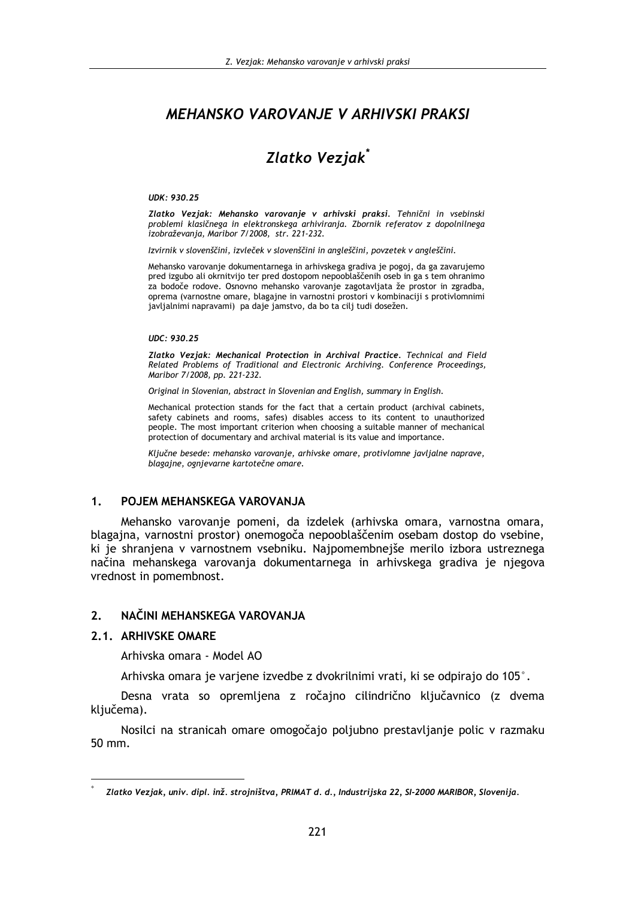# MEHANSKO VAROVANJE V ARHIVSKI PRAKSI

# Zlatko Veziak<sup>\*</sup>

#### UDK: 930.25

Zlatko Vezjak: Mehansko varovanje v arhivski praksi. Tehnični in vsebinski problemi klasičnega in elektronskega arhiviranja. Zbornik referatov z dopolnilnega izobraževanja, Maribor 7/2008, str. 221-232.

Izvirnik v slovenščini, izvleček v slovenščini in angleščini, povzetek v angleščini.

Mehansko varovanje dokumentarnega in arhivskega gradiva je pogoj, da ga zavarujemo pred izgubo ali okrnitvijo ter pred dostopom nepooblaščenih oseb in ga s tem ohranimo za bodoče rodove. Osnovno mehansko varovanje zagotavljata že prostor in zgradba, oprema (varnostne omare, blagajne in varnostni prostori v kombinaciji s protivlomnimi javljalnimi napravami) pa daje jamstvo, da bo ta cilj tudi dosežen.

#### **UDC: 930.25**

Zlatko Vezjak: Mechanical Protection in Archival Practice. Technical and Field Related Problems of Traditional and Electronic Archiving. Conference Proceedings, Maribor 7/2008, pp. 221-232.

Original in Slovenian, abstract in Slovenian and English, summary in English.

Mechanical protection stands for the fact that a certain product (archival cabinets, safety cabinets and rooms, safes) disables access to its content to unauthorized people. The most important criterion when choosing a suitable manner of mechanical protection of documentary and archival material is its value and importance.

Ključne besede: mehansko varovanje, arhivske omare, protivlomne javljalne naprave, blagajne, ognjevarne kartotečne omare.

#### $\mathbf 1$ POJEM MEHANSKEGA VAROVANJA

Mehansko varovanie pomeni, da izdelek (arhivska omara, varnostna omara, blagajna, varnostni prostor) onemogoča nepooblaščenim osebam dostop do vsebine. ki je shranjena v varnostnem vsebniku. Najpomembnejše merilo izbora ustreznega načina mehanskega varovanja dokumentarnega in arhivskega gradiva je njegova vrednost in pomembnost.

#### $2.$ NAČINI MEHANSKEGA VAROVANJA

## 2.1. ARHIVSKE OMARE

Arhivska omara - Model AO

Arhivska omara je variene izvedbe z dvokrilnimi vrati, ki se odpirajo do 105°.

Desna vrata so opremljena z ročajno cilindrično ključavnico (z dvema ključema).

Nosilci na stranicah omare omogočajo poljubno prestavljanje polic v razmaku 50 mm.

Zlatko Vezjak, univ. dipl. inž. strojništva, PRIMAT d. d., Industrijska 22, SI-2000 MARIBOR, Slovenija.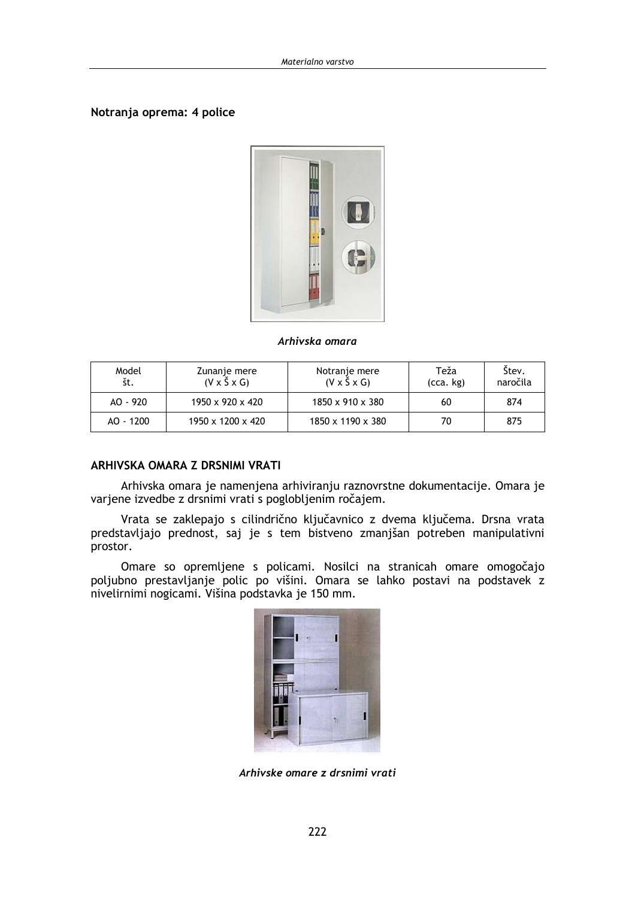#### Notranja oprema: 4 police



#### Arhivska omara

| Model<br>št. | Zunanje mere<br>$(V \times \widetilde{S} \times G)$ | Notranje mere<br>$(V \times \check{S} \times G)$ | Teža<br>(cca. kg) | Stev.<br>naročila |
|--------------|-----------------------------------------------------|--------------------------------------------------|-------------------|-------------------|
| AO - 920     | $1950 \times 920 \times 420$                        | 1850 x 910 x 380                                 | 60                | 874               |
| $AO - 1200$  | 1950 x 1200 x 420                                   | 1850 x 1190 x 380                                | 70                | 875               |

#### ARHIVSKA OMARA Z DRSNIMI VRATI

Arhivska omara je namenjena arhiviranju raznovrstne dokumentacije. Omara je varjene izvedbe z drsnimi vrati s poglobljenim ročajem.

Vrata se zaklepajo s cilindrično ključavnico z dvema ključema. Drsna vrata predstavljajo prednost, saj je s tem bistveno zmanjšan potreben manipulativni prostor.

Omare so opremljene s policami. Nosilci na stranicah omare omogočajo poljubno prestavljanje polic po višini. Omara se lahko postavi na podstavek z nivelirnimi nogicami. Višina podstavka je 150 mm.

Arhivske omare z drsnimi vrati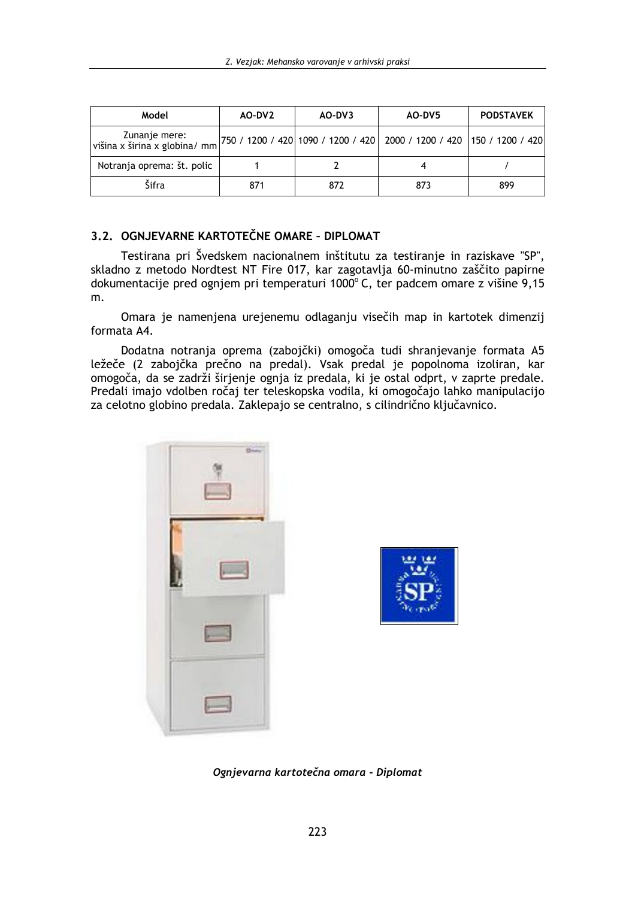| Model                                          | AO-DV2 | AO-DV3 | AO-DV5                                                                   | <b>PODSTAVEK</b> |  |
|------------------------------------------------|--------|--------|--------------------------------------------------------------------------|------------------|--|
| Zunanje mere:<br>višina x širina x globina/ mm |        |        | 750 / 1200 / 420  1090 / 1200 / 420  2000 / 1200 / 420  150 / 1200 / 420 |                  |  |
| Notranja oprema: št. polic                     |        |        |                                                                          |                  |  |
| Šifra                                          | 871    | 872    | 873                                                                      | 899              |  |

# 3.2. OGNJEVARNE KARTOTEČNE OMARE - DIPLOMAT

Testirana pri Švedskem nacionalnem inštitutu za testiranje in raziskave "SP", skladno z metodo Nordtest NT Fire 017, kar zagotavlja 60-minutno zaščito papirne dokumentacije pred ognjem pri temperaturi 1000°C, ter padcem omare z višine 9,15 m.

Omara je namenjena urejenemu odlaganju visečih map in kartotek dimenzij formata A4.

Dodatna notranja oprema (zabojčki) omogoča tudi shranjevanje formata A5 ležeče (2 zabojčka prečno na predal). Vsak predal je popolnoma izoliran, kar omogoča, da se zadrži širjenje ognja iz predala, ki je ostal odprt, v zaprte predale. Predali imajo vdolben ročaj ter teleskopska vodila, ki omogočajo lahko manipulacijo za celotno globino predala. Zaklepajo se centralno, s cilindrično ključavnico.





Ognjevarna kartotečna omara - Diplomat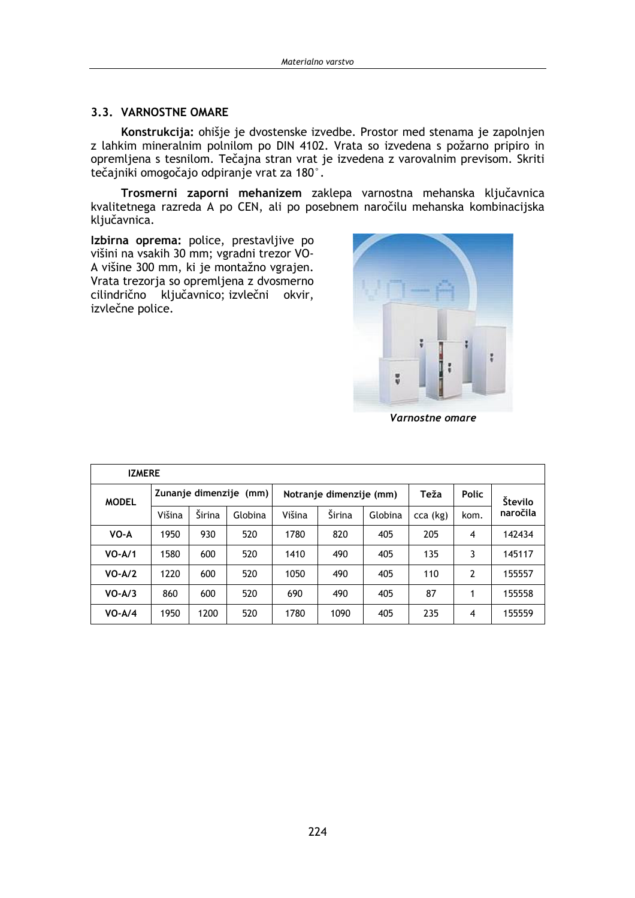#### 3.3. VARNOSTNE OMARE

Konstrukcija: ohišje je dvostenske izvedbe. Prostor med stenama je zapolnjen z lahkim mineralnim polnilom po DIN 4102. Vrata so izvedena s požarno pripiro in opremljena s tesnilom. Tečajna stran vrat je izvedena z varovalnim previsom. Skriti tečajniki omogočajo odpiranje vrat za 180°.

Trosmerni zaporni mehanizem zaklepa varnostna mehanska ključavnica kvalitetnega razreda A po CEN, ali po posebnem naročilu mehanska kombinacijska ključavnica.

Izbirna oprema: police, prestavljive po višini na vsakih 30 mm; vgradni trezor VO-A višine 300 mm, ki je montažno vgrajen. Vrata trezorja so opremljena z dvosmerno cilindrično ključavnico; izvlečni okvir, izvlečne police.



Varnostne omare

| <b>IZMERE</b> |                        |        |         |        |                         |         |          |                |          |  |
|---------------|------------------------|--------|---------|--------|-------------------------|---------|----------|----------------|----------|--|
| <b>MODEL</b>  | Zunanje dimenzije (mm) |        |         |        | Notranje dimenzije (mm) |         | Teža     | <b>Polic</b>   | Število  |  |
|               | Višina                 | Širina | Globina | Višina | Širina                  | Globina | cca (kg) | kom.           | naročila |  |
| VO-A          | 1950                   | 930    | 520     | 1780   | 820                     | 405     | 205      | 4              | 142434   |  |
| $VO-A/1$      | 1580                   | 600    | 520     | 1410   | 490                     | 405     | 135      | 3              | 145117   |  |
| $VO-A/2$      | 1220                   | 600    | 520     | 1050   | 490                     | 405     | 110      | $\overline{2}$ | 155557   |  |
| $VO-A/3$      | 860                    | 600    | 520     | 690    | 490                     | 405     | 87       | 1              | 155558   |  |
| $VO-A/4$      | 1950                   | 1200   | 520     | 1780   | 1090                    | 405     | 235      | 4              | 155559   |  |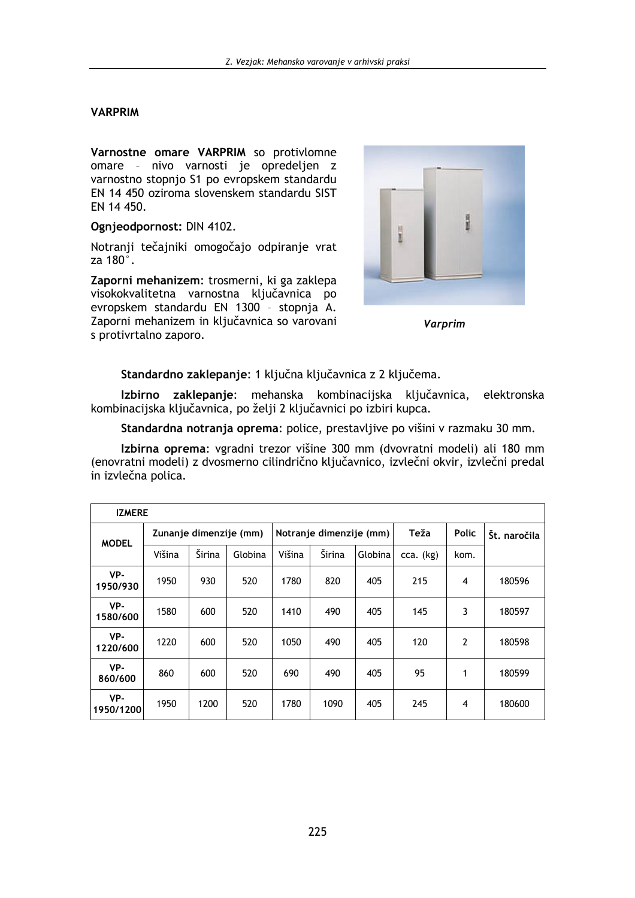#### **VARPRIM**

Varnostne omare VARPRIM so protivlomne omare - nivo varnosti je opredeljen z varnostno stopnjo S1 po evropskem standardu EN 14 450 oziroma slovenskem standardu SIST EN 14 450.

Ognjeodpornost: DIN 4102.

Notranji tečajniki omogočajo odpiranje vrat za 180°.

Zaporni mehanizem: trosmerni, ki ga zaklepa visokokvalitetna varnostna ključavnica po evropskem standardu EN 1300 - stopnja A. Zaporni mehanizem in ključavnica so varovani s protivrtalno zaporo.



**Varprim** 

Standardno zaklepanje: 1 ključna ključavnica z 2 ključema.

Izbirno zaklepanje: mehanska kombinacijska ključavnica, elektronska kombinacijska ključavnica, po želji 2 ključavnici po izbiri kupca.

Standardna notranja oprema: police, prestavljive po višini v razmaku 30 mm.

Izbirna oprema: vgradni trezor višine 300 mm (dvovratni modeli) ali 180 mm (enovratni modeli) z dvosmerno cilindrično ključavnico, izvlečni okvir, izvlečni predal in izvlečna polica.

| <b>IZMERE</b>    |                        |        |         |                         |        |         |             |                |              |
|------------------|------------------------|--------|---------|-------------------------|--------|---------|-------------|----------------|--------------|
| <b>MODEL</b>     | Zunanje dimenzije (mm) |        |         | Notranje dimenzije (mm) |        |         | Teža        | <b>Polic</b>   | Št. naročila |
|                  | Višina                 | Širina | Globina | Višina                  | Širina | Globina | $cca.$ (kg) | kom.           |              |
| VP-<br>1950/930  | 1950                   | 930    | 520     | 1780                    | 820    | 405     | 215         | 4              | 180596       |
| VP-<br>1580/600  | 1580                   | 600    | 520     | 1410                    | 490    | 405     | 145         | 3              | 180597       |
| VP-<br>1220/600  | 1220                   | 600    | 520     | 1050                    | 490    | 405     | 120         | $\overline{2}$ | 180598       |
| VP-<br>860/600   | 860                    | 600    | 520     | 690                     | 490    | 405     | 95          | 1              | 180599       |
| VP-<br>1950/1200 | 1950                   | 1200   | 520     | 1780                    | 1090   | 405     | 245         | 4              | 180600       |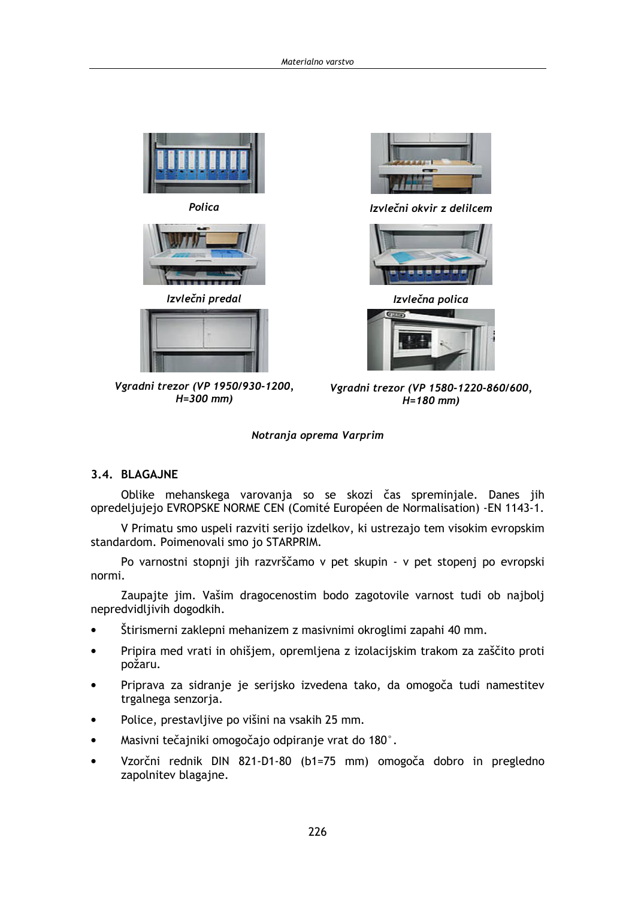







Vgradni trezor (VP 1950/930-1200,  $H = 300$  mm)



Izvlečni okvir z delilcem



Izvlečna polica



Vgradni trezor (VP 1580-1220-860/600,  $H = 180$  mm)

#### Notranja oprema Varprim

## 3.4. BLAGAJNE

Oblike mehanskega varovanja so se skozi čas spreminjale. Danes jih opredeljujejo EVROPSKE NORME CEN (Comité Européen de Normalisation) - EN 1143-1.

V Primatu smo uspeli razviti serijo izdelkov, ki ustrezajo tem visokim evropskim standardom. Poimenovali smo jo STARPRIM.

Po varnostni stopnji jih razvrščamo v pet skupin - v pet stopenj po evropski normi.

Zaupajte jim. Vašim dragocenostim bodo zagotovile varnost tudi ob najbolj nepredvidljivih dogodkih.

- Štirismerni zaklepni mehanizem z masivnimi okroglimi zapahi 40 mm.  $\bullet$
- Pripira med vrati in ohišjem, opremljena z izolacijskim trakom za zaščito proti požaru.
- Priprava za sidranje je serijsko izvedena tako, da omogoča tudi namestitev trgalnega senzorja.
- Police, prestavljive po višini na vsakih 25 mm.
- Masivni tečajniki omogočajo odpiranje vrat do 180°.
- Vzorčni rednik DIN 821-D1-80 (b1=75 mm) omogoča dobro in pregledno  $\bullet$ zapolnitev blagajne.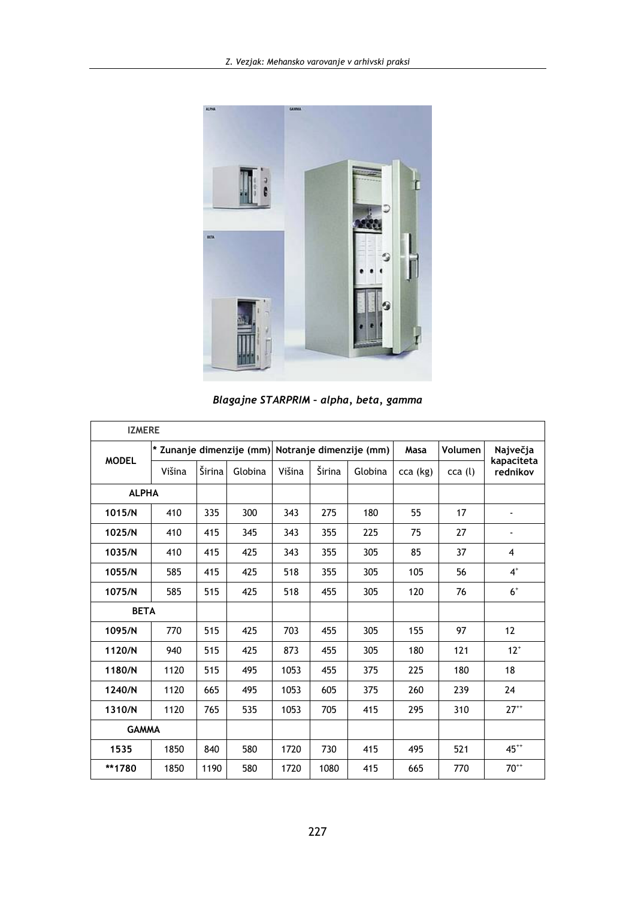

Blagajne STARPRIM - alpha, beta, gamma

| <b>IZMERE</b> |        |        |         |                                                  |        |         |          |         |                        |
|---------------|--------|--------|---------|--------------------------------------------------|--------|---------|----------|---------|------------------------|
| <b>MODEL</b>  |        |        |         | * Zunanje dimenzije (mm) Notranje dimenzije (mm) |        |         | Masa     | Volumen | Največja               |
|               | Višina | Širina | Globina | Višina                                           | Širina | Globina | cca (kg) | cca (l) | kapaciteta<br>rednikov |
| <b>ALPHA</b>  |        |        |         |                                                  |        |         |          |         |                        |
| 1015/N        | 410    | 335    | 300     | 343                                              | 275    | 180     | 55       | 17      |                        |
| 1025/N        | 410    | 415    | 345     | 343                                              | 355    | 225     | 75       | 27      |                        |
| 1035/N        | 410    | 415    | 425     | 343                                              | 355    | 305     | 85       | 37      | 4                      |
| 1055/N        | 585    | 415    | 425     | 518                                              | 355    | 305     | 105      | 56      | $4^+$                  |
| 1075/N        | 585    | 515    | 425     | 518                                              | 455    | 305     | 120      | 76      | $6+$                   |
| <b>BETA</b>   |        |        |         |                                                  |        |         |          |         |                        |
| 1095/N        | 770    | 515    | 425     | 703                                              | 455    | 305     | 155      | 97      | 12                     |
| 1120/N        | 940    | 515    | 425     | 873                                              | 455    | 305     | 180      | 121     | $12^+$                 |
| 1180/N        | 1120   | 515    | 495     | 1053                                             | 455    | 375     | 225      | 180     | 18                     |
| 1240/N        | 1120   | 665    | 495     | 1053                                             | 605    | 375     | 260      | 239     | 24                     |
| 1310/N        | 1120   | 765    | 535     | 1053                                             | 705    | 415     | 295      | 310     | $27^{++}$              |
| <b>GAMMA</b>  |        |        |         |                                                  |        |         |          |         |                        |
| 1535          | 1850   | 840    | 580     | 1720                                             | 730    | 415     | 495      | 521     | $45^{++}$              |
| **1780        | 1850   | 1190   | 580     | 1720                                             | 1080   | 415     | 665      | 770     | $70^{++}$              |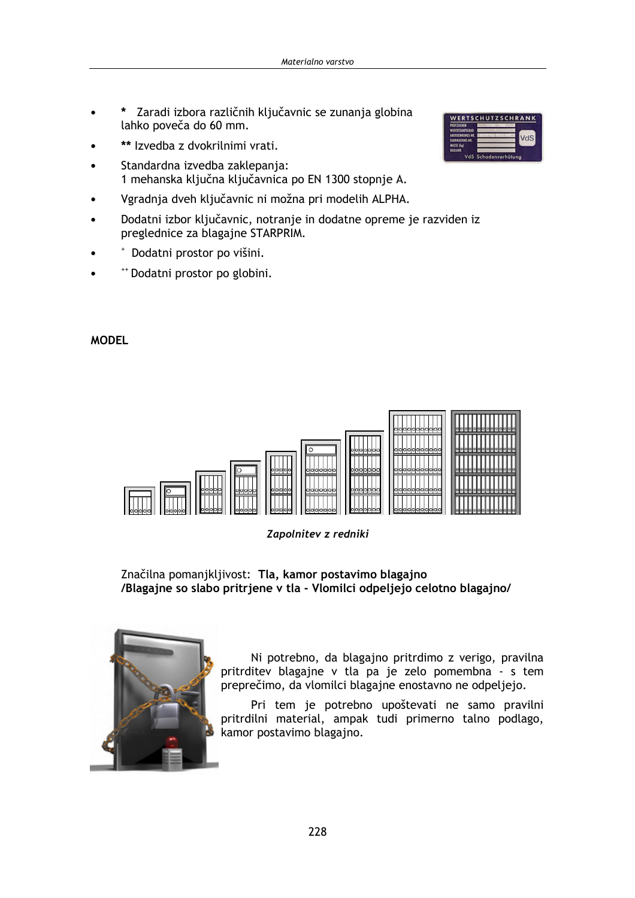- \* Zaradi izbora različnih ključavnic se zunanja globina lahko poveča do 60 mm.
- \*\* Izvedba z dvokrilnimi vrati.
- Standardna izvedba zaklepanja: 1 mehanska ključna ključavnica po EN 1300 stopnje A.
- Vgradnja dveh ključavnic ni možna pri modelih ALPHA.
- Dodatni izbor ključavnic, notranje in dodatne opreme je razviden iz preglednice za blagajne STARPRIM.
- Dodatni prostor po višini.
- "+ Dodatni prostor po globini.

## **MODEL**





Zapolnitev z redniki

Značilna pomanjkljivost: Tla, kamor postavimo blagajno /Blagajne so slabo pritrjene v tla - Vlomilci odpeljejo celotno blagajno/



Ni potrebno, da blagajno pritrdimo z verigo, pravilna pritrditev blagajne v tla pa je zelo pomembna - s tem preprečimo, da vlomilci blagajne enostavno ne odpeljejo.

Pri tem je potrebno upoštevati ne samo pravilni pritrdilni material, ampak tudi primerno talno podlago, kamor postavimo blagajno.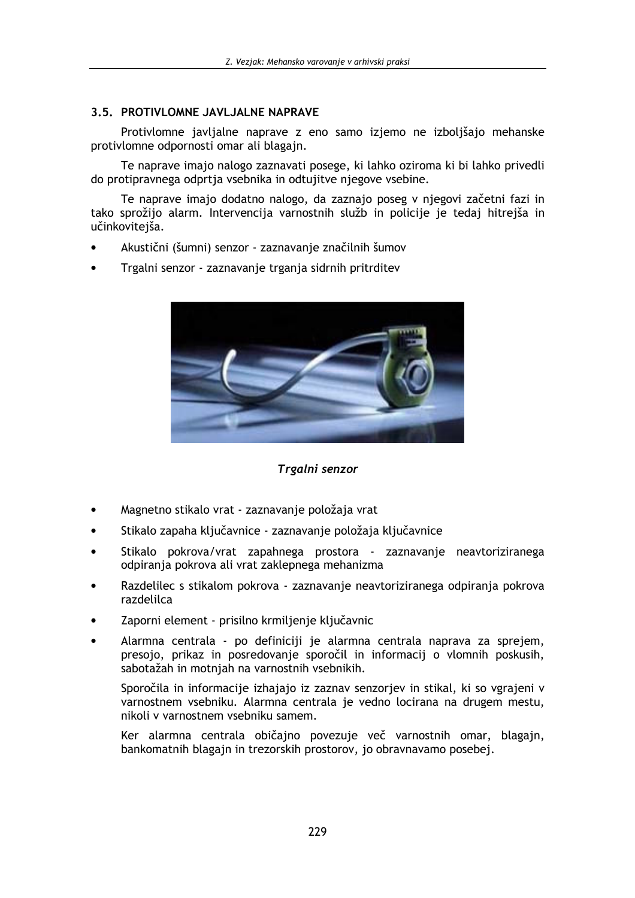## 3.5. PROTIVLOMNE JAVLJALNE NAPRAVE

Protivlomne javljalne naprave z eno samo izjemo ne izboljšajo mehanske protivlomne odpornosti omar ali blagajn.

Te naprave imajo nalogo zaznavati posege, ki lahko oziroma ki bi lahko privedli do protipravnega odprtja vsebnika in odtujitve njegove vsebine.

Te naprave imajo dodatno nalogo, da zaznajo poseg v njegovi začetni fazi in tako sprožijo alarm. Intervencija varnostnih služb in policije je tedaj hitrejša in učinkovitejša.

- Akustični (šumni) senzor zaznavanje značilnih šumov
- Trgalni senzor zaznavanje trganja sidrnih pritrditev



Trgalni senzor

- Magnetno stikalo vrat zaznavanje položaja vrat
- Stikalo zapaha ključavnice zaznavanje položaja ključavnice
- Stikalo pokrova/vrat zapahnega prostora zaznavanje neavtoriziranega odpiranja pokrova ali vrat zaklepnega mehanizma
- Razdelilec s stikalom pokrova zaznavanje neavtoriziranega odpiranja pokrova razdelilca
- Zaporni element prisilno krmiljenje ključavnic
- Alarmna centrala po definiciji je alarmna centrala naprava za sprejem, presojo, prikaz in posredovanje sporočil in informacij o vlomnih poskusih, sabotažah in motnjah na varnostnih vsebnikih.

Sporočila in informacije izhajajo iz zaznav senzorjev in stikal, ki so vgrajeni v varnostnem vsebniku. Alarmna centrala je vedno locirana na drugem mestu, nikoli v varnostnem vsebniku samem.

Ker alarmna centrala običajno povezuje več varnostnih omar, blagajn, bankomatnih blagajn in trezorskih prostorov, jo obravnavamo posebej.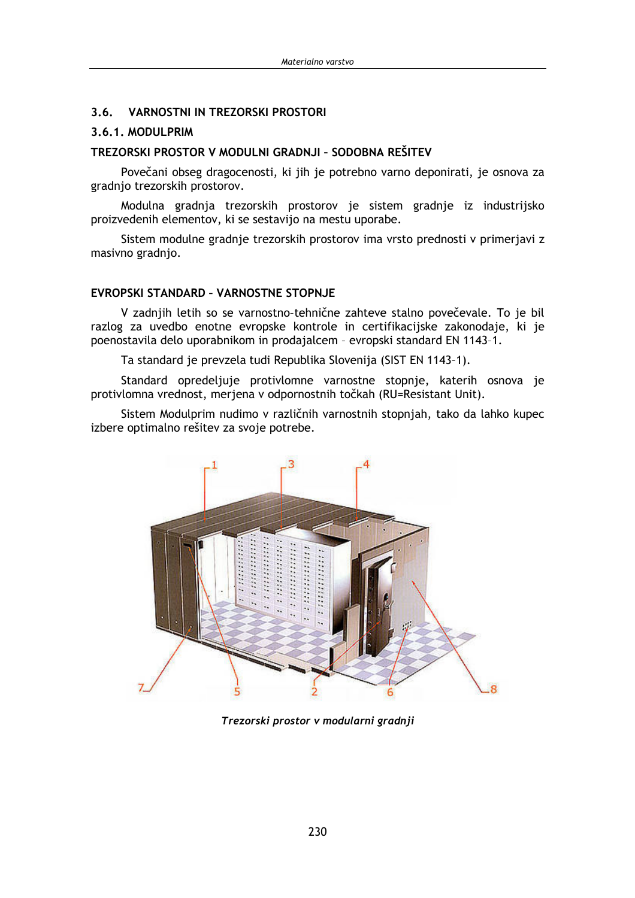#### $3.6.$ **VARNOSTNI IN TREZORSKI PROSTORI**

#### 3.6.1. MODULPRIM

## TREZORSKI PROSTOR V MODULNI GRADNJI - SODOBNA REŠITEV

Povečani obseg dragocenosti, ki jih je potrebno varno deponirati, je osnova za gradnjo trezorskih prostorov.

Modulna gradnja trezorskih prostorov je sistem gradnje iz industrijsko proizvedenih elementov, ki se sestavijo na mestu uporabe.

Sistem modulne gradnje trezorskih prostorov ima vrsto prednosti v primerjavi z masivno gradnjo.

#### **EVROPSKI STANDARD - VARNOSTNE STOPNJE**

V zadnijh letih so se varnostno-tehnične zahteve stalno povečevale. To je bil razlog za uvedbo enotne evropske kontrole in certifikacijske zakonodaje, ki je poenostavila delo uporabnikom in prodajalcem - evropski standard EN 1143-1.

Ta standard je prevzela tudi Republika Slovenija (SIST EN 1143-1).

Standard opredeljuje protivlomne varnostne stopnje, katerih osnova je protivlomna vrednost, merjena v odpornostnih točkah (RU=Resistant Unit).

Sistem Modulprim nudimo v različnih varnostnih stopnjah, tako da lahko kupec izbere optimalno rešitev za svoje potrebe.



Trezorski prostor v modularni gradnji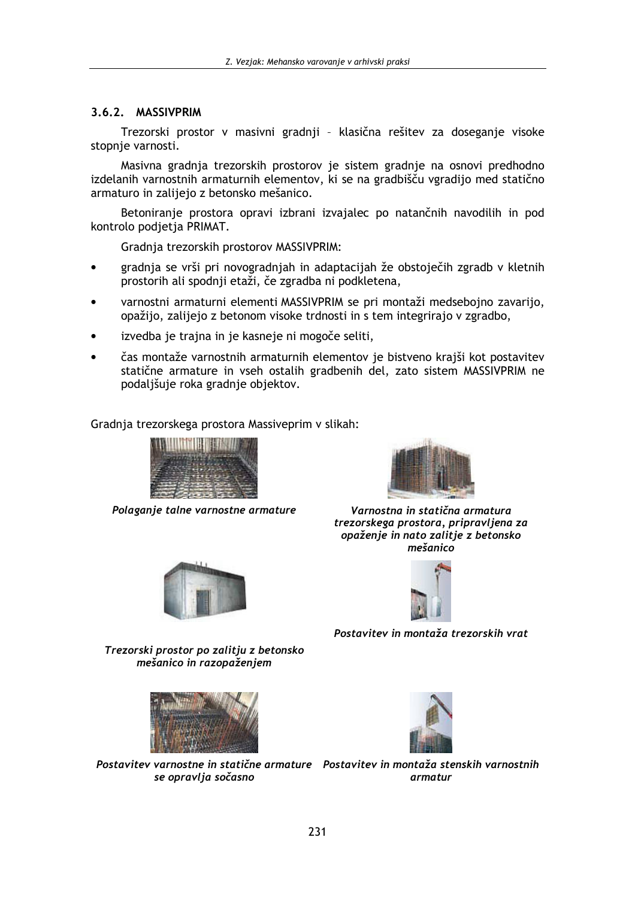# 3.6.2. MASSIVPRIM

Trezorski prostor v masivni gradnji - klasična rešitev za doseganje visoke stopnje varnosti.

Masivna gradnja trezorskih prostorov je sistem gradnje na osnovi predhodno izdelanih varnostnih armaturnih elementov, ki se na gradbišču vgradijo med statično armaturo in zalijejo z betonsko mešanico.

Betoniranje prostora opravi izbrani izvajalec po natančnih navodilih in pod kontrolo podjetja PRIMAT.

Gradnja trezorskih prostorov MASSIVPRIM:

- gradnja se vrši pri novogradnjah in adaptacijah že obstoječih zgradb v kletnih prostorih ali spodnji etaži, če zgradba ni podkletena,
- varnostni armaturni elementi MASSIVPRIM se pri montaži medsebojno zavarijo, opažijo, zalijejo z betonom visoke trdnosti in s tem integrirajo v zgradbo,
- izvedba je trajna in je kasneje ni mogoče seliti,
- čas montaže varnostnih armaturnih elementov je bistveno krajši kot postavitev statične armature in vseh ostalih gradbenih del, zato sistem MASSIVPRIM ne podaljšuje roka gradnje objektov.

Gradnja trezorskega prostora Massiveprim v slikah:



Polaganje talne varnostne armature





Varnostna in statična armatura trezorskega prostora, pripravljena za opaženie in nato zalitie z betonsko mešanico



Postavitev in montaža trezorskih vrat

Trezorski prostor po zalitju z betonsko mešanico in razopaženjem